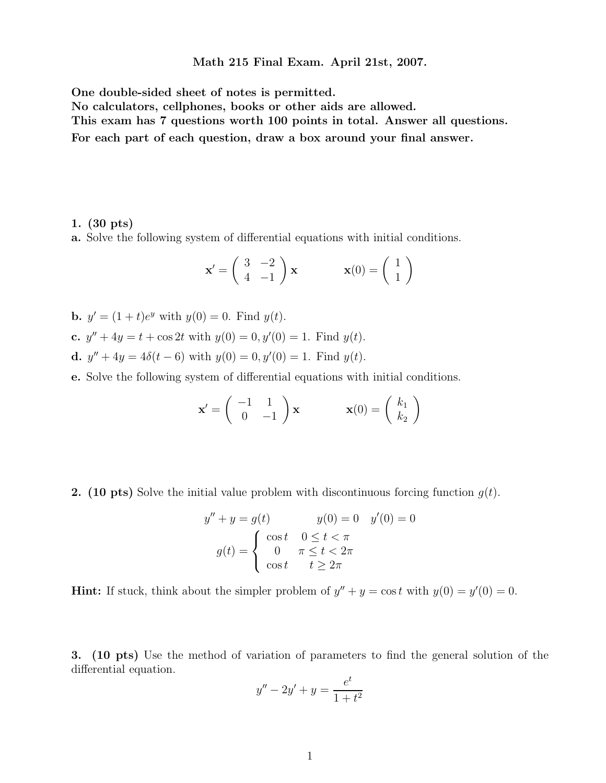Math 215 Final Exam. April 21st, 2007.

One double-sided sheet of notes is permitted.

No calculators, cellphones, books or other aids are allowed.

This exam has 7 questions worth 100 points in total. Answer all questions.

For each part of each question, draw a box around your final answer.

## 1. (30 pts)

a. Solve the following system of differential equations with initial conditions.

$$
\mathbf{x}' = \begin{pmatrix} 3 & -2 \\ 4 & -1 \end{pmatrix} \mathbf{x} \qquad \mathbf{x}(0) = \begin{pmatrix} 1 \\ 1 \end{pmatrix}
$$

- **b.**  $y' = (1 + t)e^y$  with  $y(0) = 0$ . Find  $y(t)$ .
- c.  $y'' + 4y = t + \cos 2t$  with  $y(0) = 0, y'(0) = 1$ . Find  $y(t)$ .
- **d.**  $y'' + 4y = 4\delta(t 6)$  with  $y(0) = 0, y'(0) = 1$ . Find  $y(t)$ .

e. Solve the following system of differential equations with initial conditions.

$$
\mathbf{x}' = \begin{pmatrix} -1 & 1 \\ 0 & -1 \end{pmatrix} \mathbf{x} \qquad \mathbf{x}(0) = \begin{pmatrix} k_1 \\ k_2 \end{pmatrix}
$$

**2.** (10 pts) Solve the initial value problem with discontinuous forcing function  $g(t)$ .

$$
y'' + y = g(t)
$$

$$
y(0) = 0
$$

$$
y'(0) = 0
$$

$$
g(t) = \begin{cases} \cos t & 0 \le t < \pi \\ 0 & \pi \le t < 2\pi \\ \cos t & t \ge 2\pi \end{cases}
$$

**Hint:** If stuck, think about the simpler problem of  $y'' + y = \cos t$  with  $y(0) = y'(0) = 0$ .

3. (10 pts) Use the method of variation of parameters to find the general solution of the differential equation.

$$
y'' - 2y' + y = \frac{e^t}{1 + t^2}
$$